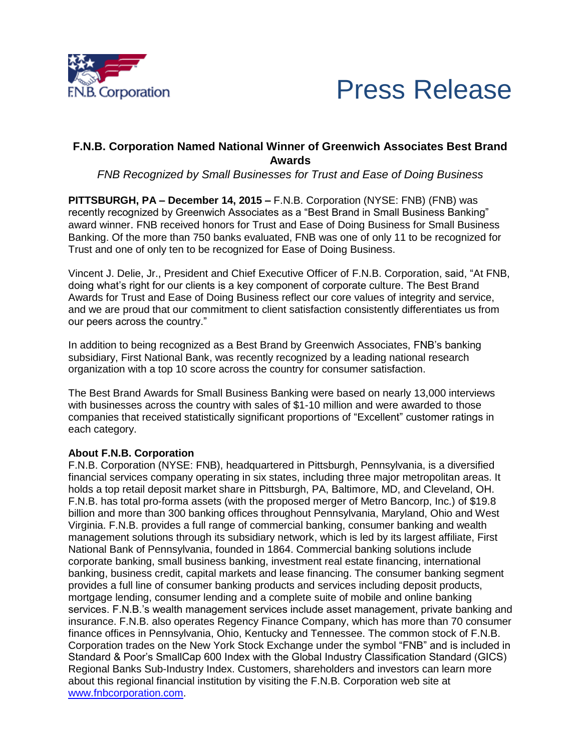



## **F.N.B. Corporation Named National Winner of Greenwich Associates Best Brand Awards**

*FNB Recognized by Small Businesses for Trust and Ease of Doing Business*

**PITTSBURGH, PA – December 14, 2015 –** F.N.B. Corporation (NYSE: FNB) (FNB) was recently recognized by Greenwich Associates as a "Best Brand in Small Business Banking" award winner. FNB received honors for Trust and Ease of Doing Business for Small Business Banking. Of the more than 750 banks evaluated, FNB was one of only 11 to be recognized for Trust and one of only ten to be recognized for Ease of Doing Business.

Vincent J. Delie, Jr., President and Chief Executive Officer of F.N.B. Corporation, said, "At FNB, doing what's right for our clients is a key component of corporate culture. The Best Brand Awards for Trust and Ease of Doing Business reflect our core values of integrity and service, and we are proud that our commitment to client satisfaction consistently differentiates us from our peers across the country."

In addition to being recognized as a Best Brand by Greenwich Associates, FNB's banking subsidiary, First National Bank, was recently recognized by a leading national research organization with a top 10 score across the country for consumer satisfaction.

The Best Brand Awards for Small Business Banking were based on nearly 13,000 interviews with businesses across the country with sales of \$1-10 million and were awarded to those companies that received statistically significant proportions of "Excellent" customer ratings in each category.

## **About F.N.B. Corporation**

F.N.B. Corporation (NYSE: FNB), headquartered in Pittsburgh, Pennsylvania, is a diversified financial services company operating in six states, including three major metropolitan areas. It holds a top retail deposit market share in Pittsburgh, PA, Baltimore, MD, and Cleveland, OH. F.N.B. has total pro-forma assets (with the proposed merger of Metro Bancorp, Inc.) of \$19.8 billion and more than 300 banking offices throughout Pennsylvania, Maryland, Ohio and West Virginia. F.N.B. provides a full range of commercial banking, consumer banking and wealth management solutions through its subsidiary network, which is led by its largest affiliate, First National Bank of Pennsylvania, founded in 1864. Commercial banking solutions include corporate banking, small business banking, investment real estate financing, international banking, business credit, capital markets and lease financing. The consumer banking segment provides a full line of consumer banking products and services including deposit products, mortgage lending, consumer lending and a complete suite of mobile and online banking services. F.N.B.'s wealth management services include asset management, private banking and insurance. F.N.B. also operates Regency Finance Company, which has more than 70 consumer finance offices in Pennsylvania, Ohio, Kentucky and Tennessee. The common stock of F.N.B. Corporation trades on the New York Stock Exchange under the symbol "FNB" and is included in Standard & Poor's SmallCap 600 Index with the Global Industry Classification Standard (GICS) Regional Banks Sub-Industry Index. Customers, shareholders and investors can learn more about this regional financial institution by visiting the F.N.B. Corporation web site at www.fnbcorporation.com.